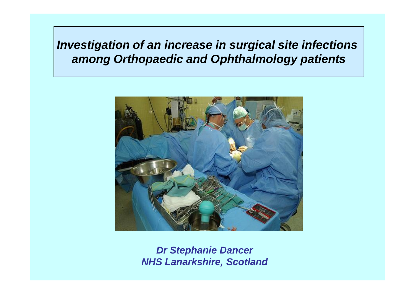## *Investigation of an increase in surgical site infections among Orthopaedic and Ophthalmology patients*



*Dr Stephanie Dancer NHS Lanarkshire, Scotland*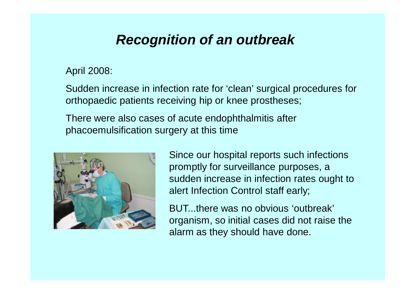## *Recognition of an outbreak*

### April 2008:

Sudden increase in infection rate for 'clean' surgical procedures for orthopaedic patients receiving hip or knee prostheses;

There were also cases of acute endophthalmitis after phacoemulsification surgery at this time



Since our hospital reports such infections promptly for surveillance purposes, a sudden increase in infection rates ought to alert Infection Control staff early;

BUT...there was no obvious 'outbreak' organism, so initial cases did not raise the alarm as they should have done.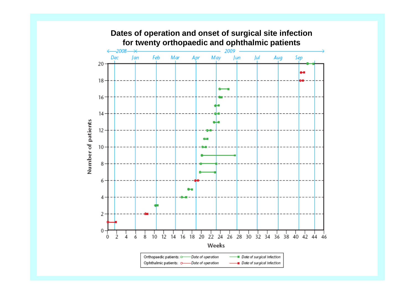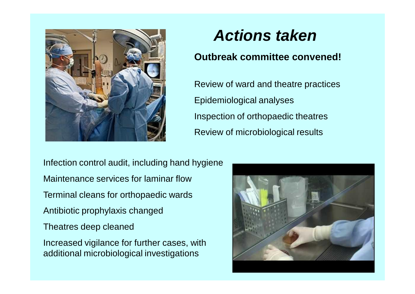

## *Actions taken*

### **Outbreak committee convened!**

Review of ward and theatre practices Epidemiological analyses Inspection of orthopaedic theatres Review of microbiological results

Infection control audit, including hand hygiene Maintenance services for laminar flow Terminal cleans for orthopaedic wards Antibiotic prophylaxis changed Theatres deep cleaned Increased vigilance for further cases, with

additional microbiological investigations

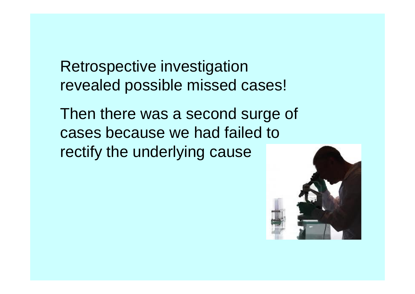Retrospective investigation revealed possible missed cases!

Then there was a second surge of cases because we had failed to rectify the underlying cause

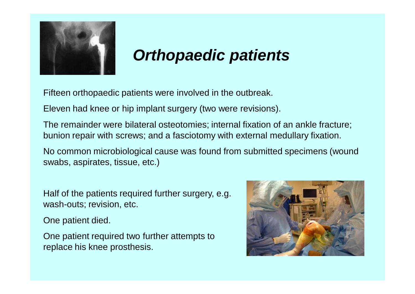

## *Orthopaedic patients*

Fifteen orthopaedic patients were involved in the outbreak.

Eleven had knee or hip implant surgery (two were revisions).

The remainder were bilateral osteotomies; internal fixation of an ankle fracture; bunion repair with screws; and a fasciotomy with external medullary fixation.

No common microbiological cause was found from submitted specimens (wound swabs, aspirates, tissue, etc.)

Half of the patients required further surgery, e.g. wash-outs; revision, etc.

One patient died.

One patient required two further attempts to replace his knee prosthesis.

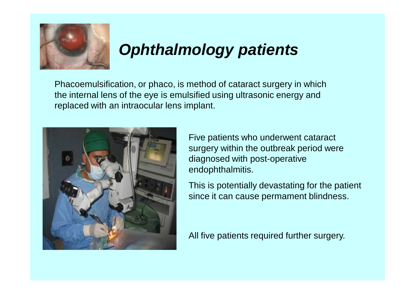

## *Ophthalmology patients*

Phacoemulsification, or phaco, is method of cataract surgery in which the internal lens of the eye is emulsified using ultrasonic energy and replaced with an intraocular lens implant.



Five patients who underwent cataract surgery within the outbreak period were diagnosed with post-operative endophthalmitis.

This is potentially devastating for the patient since it can cause permament blindness.

All five patients required further surgery.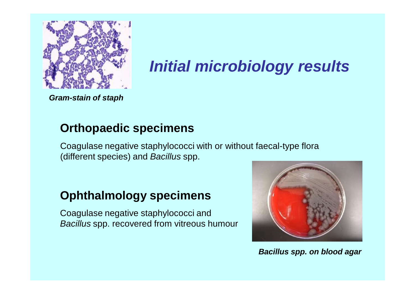

## *Initial microbiology results*

*Gram-stain of staph*

### **Orthopaedic specimens**

Coagulase negative staphylococci with or without faecal-type flora (different species) and *Bacillus* spp.

### **Ophthalmology specimens**

Coagulase negative staphylococci and *Bacillus* spp. recovered from vitreous humour



*Bacillus spp. on blood agar*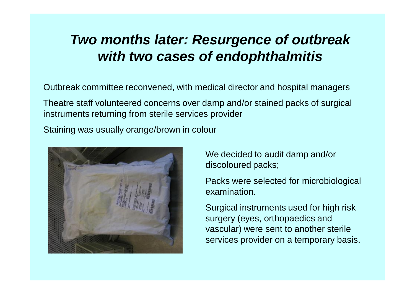## *Two months later: Resurgence of outbreak with two cases of endophthalmitis*

Outbreak committee reconvened, with medical director and hospital managers Theatre staff volunteered concerns over damp and/or stained packs of surgical instruments returning from sterile services provider

Staining was usually orange/brown in colour



We decided to audit damp and/or discoloured packs;

Packs were selected for microbiological examination.

Surgical instruments used for high risk surgery (eyes, orthopaedics and vascular) were sent to another sterile services provider on a temporary basis.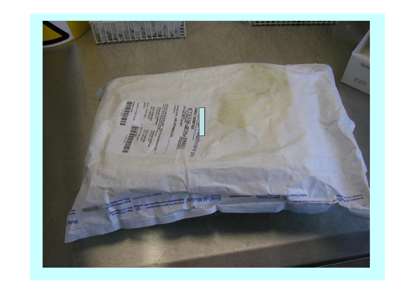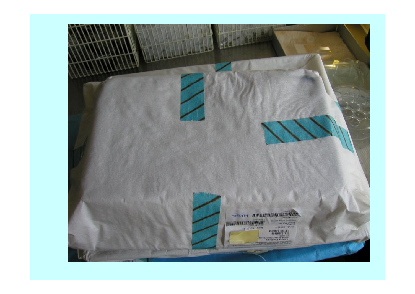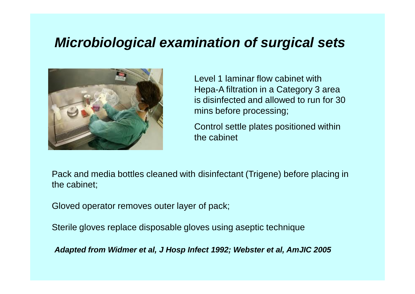## *Microbiological examination of surgical sets*



Level 1 laminar flow cabinet with Hepa-A filtration in a Category 3 area is disinfected and allowed to run for 30 mins before processing;

Control settle plates positioned within the cabinet

Pack and media bottles cleaned with disinfectant (Trigene) before placing in the cabinet;

Gloved operator removes outer layer of pack;

Sterile gloves replace disposable gloves using aseptic technique

*Adapted from Widmer et al, J Hosp Infect 1992; Webster et al, AmJIC 2005*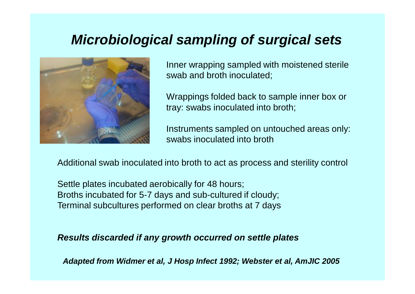## *Microbiological sampling of surgical sets*



Inner wrapping sampled with moistened sterile swab and broth inoculated;

Wrappings folded back to sample inner box or tray: swabs inoculated into broth;

Instruments sampled on untouched areas only: swabs inoculated into broth

Additional swab inoculated into broth to act as process and sterility control

Settle plates incubated aerobically for 48 hours; Broths incubated for 5-7 days and sub-cultured if cloudy; Terminal subcultures performed on clear broths at 7 days

*Results discarded if any growth occurred on settle plates*

*Adapted from Widmer et al, J Hosp Infect 1992; Webster et al, AmJIC 2005*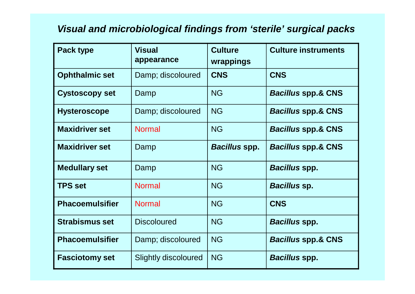### *Visual and microbiological findings from 'sterile' surgical packs*

| Pack type              | <b>Visual</b><br>appearance | <b>Culture</b><br>wrappings | <b>Culture instruments</b>    |
|------------------------|-----------------------------|-----------------------------|-------------------------------|
| <b>Ophthalmic set</b>  | Damp; discoloured           | <b>CNS</b>                  | <b>CNS</b>                    |
| <b>Cystoscopy set</b>  | Damp                        | <b>NG</b>                   | <b>Bacillus spp.&amp; CNS</b> |
| <b>Hysteroscope</b>    | Damp; discoloured           | <b>NG</b>                   | <b>Bacillus spp.&amp; CNS</b> |
| <b>Maxidriver set</b>  | <b>Normal</b>               | <b>NG</b>                   | <b>Bacillus spp.&amp; CNS</b> |
| <b>Maxidriver set</b>  | Damp                        | <b>Bacillus spp.</b>        | <b>Bacillus spp.&amp; CNS</b> |
| <b>Medullary set</b>   | Damp                        | <b>NG</b>                   | <b>Bacillus spp.</b>          |
| <b>TPS set</b>         | <b>Normal</b>               | <b>NG</b>                   | <i>Bacillus</i> sp.           |
| <b>Phacoemulsifier</b> | <b>Normal</b>               | <b>NG</b>                   | <b>CNS</b>                    |
| <b>Strabismus set</b>  | <b>Discoloured</b>          | <b>NG</b>                   | <b>Bacillus spp.</b>          |
| <b>Phacoemulsifier</b> | Damp; discoloured           | <b>NG</b>                   | <b>Bacillus spp.&amp; CNS</b> |
| <b>Fasciotomy set</b>  | <b>Slightly discoloured</b> | <b>NG</b>                   | <b>Bacillus spp.</b>          |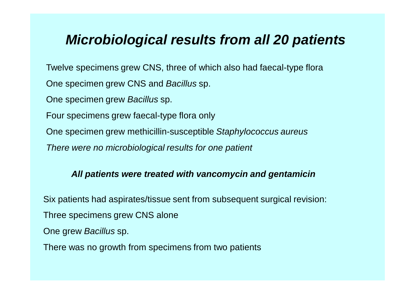## *Microbiological results from all 20 patients*

Twelve specimens grew CNS, three of which also had faecal-type flora

One specimen grew CNS and *Bacillus* sp.

One specimen grew *Bacillus* sp.

Four specimens grew faecal-type flora only

One specimen grew methicillin-susceptible *Staphylococcus aureus*

*There were no microbiological results for one patient*

#### *All patients were treated with vancomycin and gentamicin*

Six patients had aspirates/tissue sent from subsequent surgical revision:

Three specimens grew CNS alone

One grew *Bacillus* sp.

There was no growth from specimens from two patients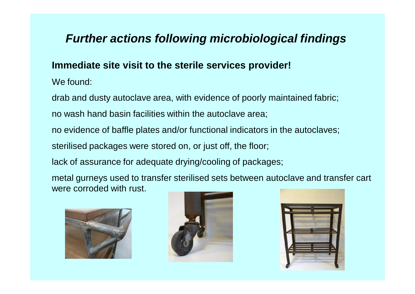### *Further actions following microbiological findings*

### **Immediate site visit to the sterile services provider!**

We found:

drab and dusty autoclave area, with evidence of poorly maintained fabric;

no wash hand basin facilities within the autoclave area;

no evidence of baffle plates and/or functional indicators in the autoclaves;

sterilised packages were stored on, or just off, the floor;

lack of assurance for adequate drying/cooling of packages;

metal gurneys used to transfer sterilised sets between autoclave and transfer cart were corroded with rust.





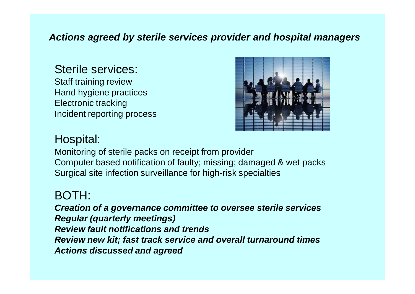### *Actions agreed by sterile services provider and hospital managers*

### Sterile services:

Staff training review Hand hygiene practices Electronic tracking Incident reporting process



### Hospital:

Monitoring of sterile packs on receipt from provider Computer based notification of faulty; missing; damaged & wet packs Surgical site infection surveillance for high-risk specialties

### BOTH:

*Creation of a governance committee to oversee sterile services Regular (quarterly meetings) Review fault notifications and trends Review new kit; fast track service and overall turnaround times Actions discussed and agreed*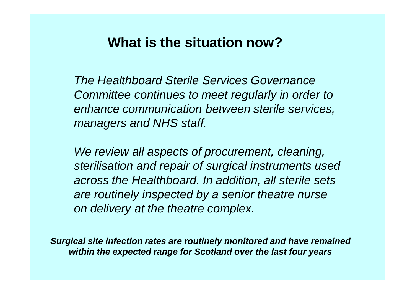## **What is the situation now?**

*The Healthboard Sterile Services Governance Committee continues to meet regularly in order to enhance communication between sterile services, managers and NHS staff.* 

*We review all aspects of procurement, cleaning, sterilisation and repair of surgical instruments used across the Healthboard. In addition, all sterile sets are routinely inspected by a senior theatre nurse on delivery at the theatre complex.*

*Surgical site infection rates are routinely monitored and have remained within the expected range for Scotland over the last four years*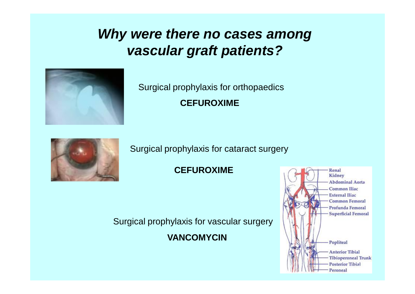## *Why were there no cases among vascular graft patients?*



Surgical prophylaxis for orthopaedics

**CEFUROXIME**



Surgical prophylaxis for cataract surgery

**CEFUROXIME**

Surgical prophylaxis for vascular surgery

### **VANCOMYCIN**

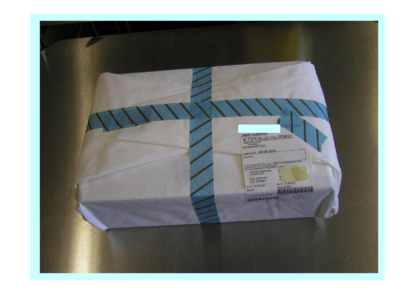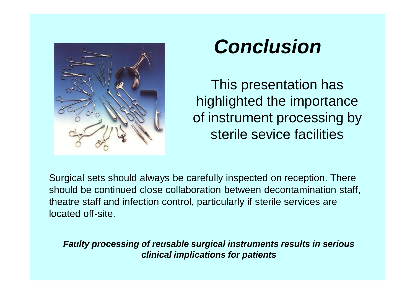

# *Conclusion*

This presentation has highlighted the importance of instrument processing by sterile sevice facilities

Surgical sets should always be carefully inspected on reception. There should be continued close collaboration between decontamination staff, theatre staff and infection control, particularly if sterile services are located off-site.

*Faulty processing of reusable surgical instruments results in serious clinical implications for patients*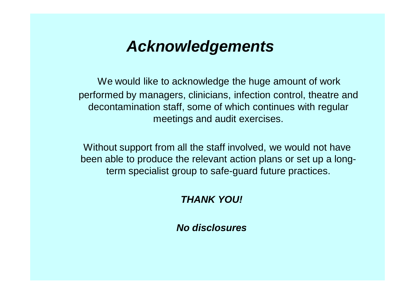## *Acknowledgements*

We would like to acknowledge the huge amount of work performed by managers, clinicians, infection control, theatre and decontamination staff, some of which continues with regular meetings and audit exercises.

Without support from all the staff involved, we would not have been able to produce the relevant action plans or set up a longterm specialist group to safe-guard future practices.

### *THANK YOU!*

*No disclosures*